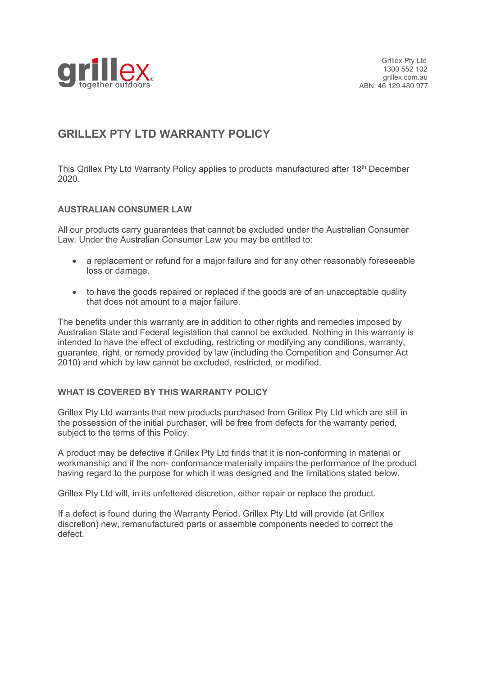

# **GRILLEX PTY LTD WARRANTY POLICY**

This Grillex Pty Ltd Warranty Policy applies to products manufactured after 18<sup>th</sup> December 2020.

## **AUSTRALIAN CONSUMER LAW**

All our products carry guarantees that cannot be excluded under the Australian Consumer Law. Under the Australian Consumer Law you may be entitled to:

- a replacement or refund for a major failure and for any other reasonably foreseeable loss or damage.
- to have the goods repaired or replaced if the goods are of an unacceptable quality that does not amount to a major failure.

The benefits under this warranty are in addition to other rights and remedies imposed by Australian State and Federal legislation that cannot be excluded. Nothing in this warranty is intended to have the effect of excluding, restricting or modifying any conditions, warranty, guarantee, right, or remedy provided by law (including the Competition and Consumer Act 2010) and which by law cannot be excluded, restricted, or modified.

### **WHAT IS COVERED BY THIS WARRANTY POLICY**

Grillex Pty Ltd warrants that new products purchased from Grillex Pty Ltd which are still in the possession of the initial purchaser, will be free from defects for the warranty period, subject to the terms of this Policy.

A product may be defective if Grillex Pty Ltd finds that it is non-conforming in material or workmanship and if the non- conformance materially impairs the performance of the product having regard to the purpose for which it was designed and the limitations stated below.

Grillex Pty Ltd will, in its unfettered discretion, either repair or replace the product.

If a defect is found during the Warranty Period, Grillex Pty Ltd will provide (at Grillex discretion) new, remanufactured parts or assemble components needed to correct the defect.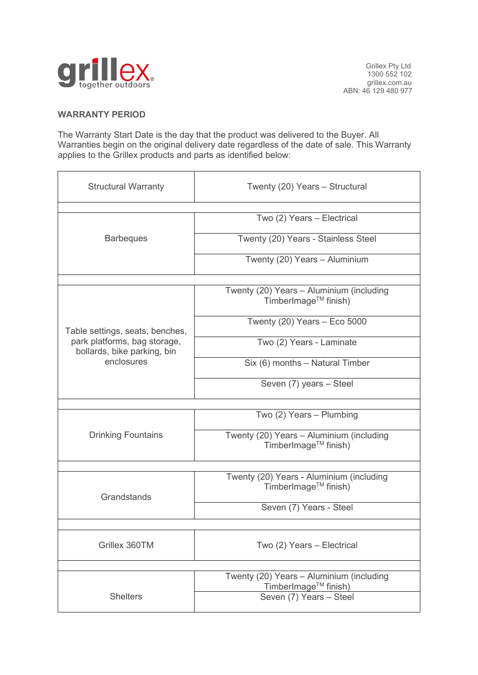

## **WARRANTY PERIOD**

The Warranty Start Date is the day that the product was delivered to the Buyer. All Warranties begin on the original delivery date regardless of the date of sale. This Warranty applies to the Grillex products and parts as identified below:

| <b>Structural Warranty</b>                                                                                   | Twenty (20) Years - Structural                                                |
|--------------------------------------------------------------------------------------------------------------|-------------------------------------------------------------------------------|
|                                                                                                              |                                                                               |
| <b>Barbeques</b>                                                                                             | Two (2) Years - Electrical                                                    |
|                                                                                                              | Twenty (20) Years - Stainless Steel                                           |
|                                                                                                              | Twenty (20) Years - Aluminium                                                 |
|                                                                                                              |                                                                               |
| Table settings, seats, benches,<br>park platforms, bag storage,<br>bollards, bike parking, bin<br>enclosures | Twenty (20) Years - Aluminium (including<br>TimberImage <sup>™</sup> finish)  |
|                                                                                                              | Twenty $(20)$ Years - Eco 5000                                                |
|                                                                                                              | Two (2) Years - Laminate                                                      |
|                                                                                                              | Six (6) months - Natural Timber                                               |
|                                                                                                              | Seven (7) years - Steel                                                       |
|                                                                                                              |                                                                               |
| <b>Drinking Fountains</b>                                                                                    | Two (2) Years - Plumbing                                                      |
|                                                                                                              | Twenty (20) Years - Aluminium (including<br>TimberImage <sup>TM</sup> finish) |
|                                                                                                              |                                                                               |
| Grandstands                                                                                                  | Twenty (20) Years - Aluminium (including<br>TimberImage <sup>TM</sup> finish) |
|                                                                                                              | Seven (7) Years - Steel                                                       |
|                                                                                                              |                                                                               |
| Grillex 360TM                                                                                                | Two (2) Years - Electrical                                                    |
|                                                                                                              |                                                                               |
| <b>Shelters</b>                                                                                              | Twenty (20) Years - Aluminium (including<br>TimberImage™ finish)              |
|                                                                                                              | Seven (7) Years - Steel                                                       |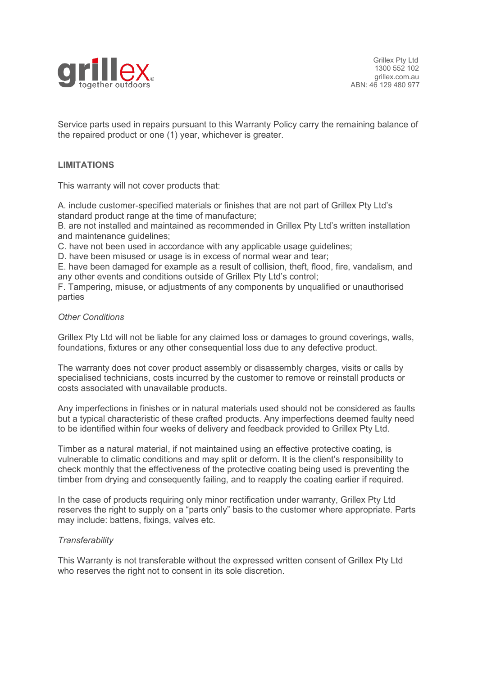

Service parts used in repairs pursuant to this Warranty Policy carry the remaining balance of the repaired product or one (1) year, whichever is greater.

### **LIMITATIONS**

This warranty will not cover products that:

A. include customer-specified materials or finishes that are not part of Grillex Pty Ltd's standard product range at the time of manufacture;

B. are not installed and maintained as recommended in Grillex Pty Ltd's written installation and maintenance quidelines:

C. have not been used in accordance with any applicable usage guidelines;

D. have been misused or usage is in excess of normal wear and tear;

E. have been damaged for example as a result of collision, theft, flood, fire, vandalism, and any other events and conditions outside of Grillex Pty Ltd's control;

F. Tampering, misuse, or adjustments of any components by unqualified or unauthorised parties

#### *Other Conditions*

Grillex Pty Ltd will not be liable for any claimed loss or damages to ground coverings, walls, foundations, fixtures or any other consequential loss due to any defective product.

The warranty does not cover product assembly or disassembly charges, visits or calls by specialised technicians, costs incurred by the customer to remove or reinstall products or costs associated with unavailable products.

Any imperfections in finishes or in natural materials used should not be considered as faults but a typical characteristic of these crafted products. Any imperfections deemed faulty need to be identified within four weeks of delivery and feedback provided to Grillex Pty Ltd.

Timber as a natural material, if not maintained using an effective protective coating, is vulnerable to climatic conditions and may split or deform. It is the client's responsibility to check monthly that the effectiveness of the protective coating being used is preventing the timber from drying and consequently failing, and to reapply the coating earlier if required.

In the case of products requiring only minor rectification under warranty, Grillex Pty Ltd reserves the right to supply on a "parts only" basis to the customer where appropriate. Parts may include: battens, fixings, valves etc.

#### *Transferability*

This Warranty is not transferable without the expressed written consent of Grillex Pty Ltd who reserves the right not to consent in its sole discretion.